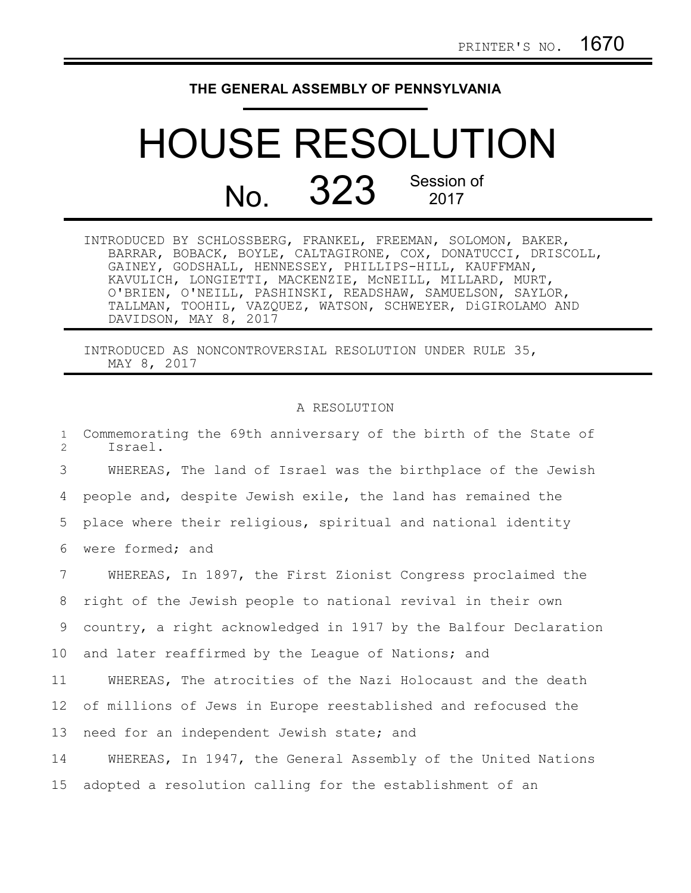## **THE GENERAL ASSEMBLY OF PENNSYLVANIA**

## HOUSE RESOLUTION No. 323 Session of 2017

| INTRODUCED BY SCHLOSSBERG, FRANKEL, FREEMAN, SOLOMON, BAKER, |                       |  |                                                            |                                                               |
|--------------------------------------------------------------|-----------------------|--|------------------------------------------------------------|---------------------------------------------------------------|
|                                                              |                       |  |                                                            | BARRAR, BOBACK, BOYLE, CALTAGIRONE, COX, DONATUCCI, DRISCOLL, |
|                                                              |                       |  | GAINEY, GODSHALL, HENNESSEY, PHILLIPS-HILL, KAUFFMAN,      |                                                               |
|                                                              |                       |  | KAVULICH, LONGIETTI, MACKENZIE, MCNEILL, MILLARD, MURT,    |                                                               |
|                                                              |                       |  | O'BRIEN, O'NEILL, PASHINSKI, READSHAW, SAMUELSON, SAYLOR,  |                                                               |
|                                                              |                       |  | TALLMAN, TOOHIL, VAZQUEZ, WATSON, SCHWEYER, DiGIROLAMO AND |                                                               |
|                                                              | DAVIDSON, MAY 8, 2017 |  |                                                            |                                                               |

INTRODUCED AS NONCONTROVERSIAL RESOLUTION UNDER RULE 35, MAY 8, 2017

## A RESOLUTION

Commemorating the 69th anniversary of the birth of the State of Israel. WHEREAS, The land of Israel was the birthplace of the Jewish people and, despite Jewish exile, the land has remained the place where their religious, spiritual and national identity were formed; and WHEREAS, In 1897, the First Zionist Congress proclaimed the right of the Jewish people to national revival in their own country, a right acknowledged in 1917 by the Balfour Declaration and later reaffirmed by the League of Nations; and WHEREAS, The atrocities of the Nazi Holocaust and the death of millions of Jews in Europe reestablished and refocused the need for an independent Jewish state; and WHEREAS, In 1947, the General Assembly of the United Nations adopted a resolution calling for the establishment of an 1  $\mathcal{D}$ 3 4 5 6 7 8 9 10 11 12 13 14 15